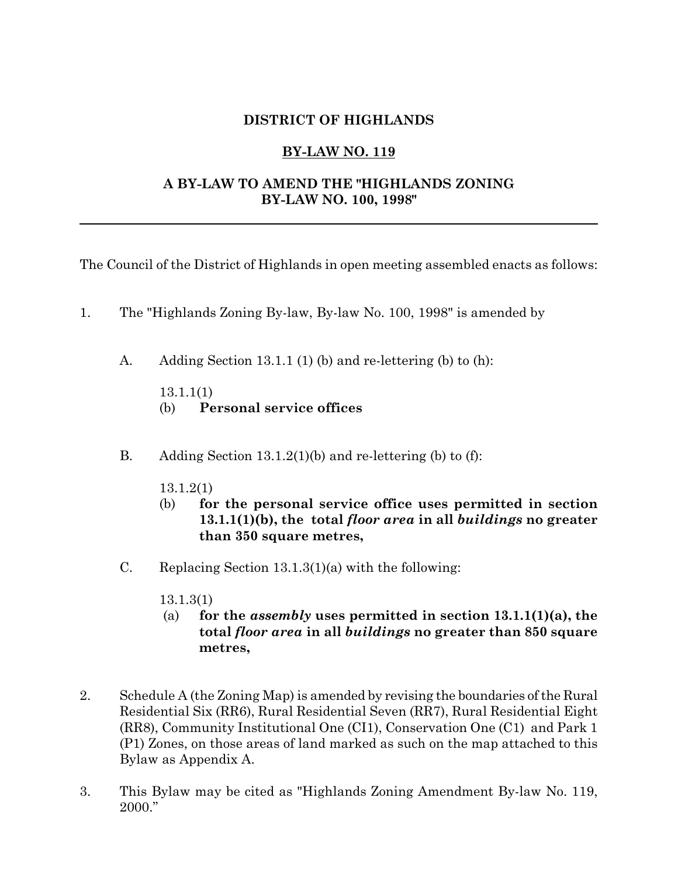## **DISTRICT OF HIGHLANDS**

## **BY-LAW NO. 119**

## **A BY-LAW TO AMEND THE "HIGHLANDS ZONING BY-LAW NO. 100, 1998"**

The Council of the District of Highlands in open meeting assembled enacts as follows:

- 1. The "Highlands Zoning By-law, By-law No. 100, 1998" is amended by
	- A. Adding Section 13.1.1 (1) (b) and re-lettering (b) to (h):

13.1.1(1)

- (b) **Personal service offices**
- B. Adding Section 13.1.2(1)(b) and re-lettering (b) to (f):
	- 13.1.2(1)
	- (b) **for the personal service office uses permitted in section 13.1.1(1)(b), the total** *floor area* **in all** *buildings* **no greater than 350 square metres,**
- C. Replacing Section 13.1.3(1)(a) with the following:
	- 13.1.3(1)
	- (a) **for the** *assembly* **uses permitted in section 13.1.1(1)(a), the total** *floor area* **in all** *buildings* **no greater than 850 square metres,**
- 2. Schedule A (the Zoning Map) is amended by revising the boundaries of the Rural Residential Six (RR6), Rural Residential Seven (RR7), Rural Residential Eight (RR8), Community Institutional One (CI1), Conservation One (C1) and Park 1 (P1) Zones, on those areas of land marked as such on the map attached to this Bylaw as Appendix A.
- 3. This Bylaw may be cited as "Highlands Zoning Amendment By-law No. 119, 2000."